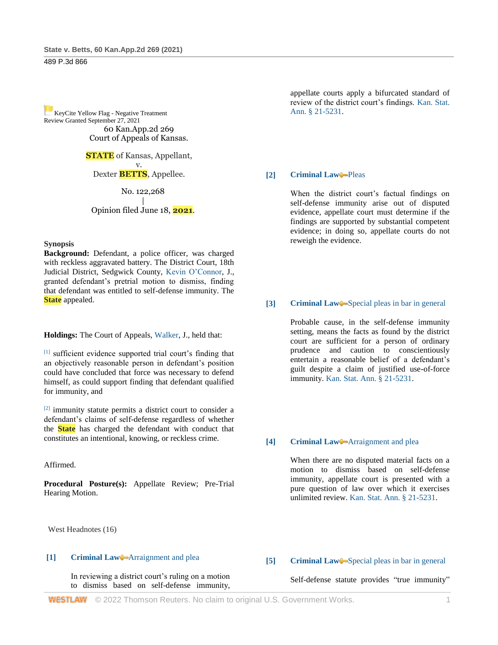[K](https://1.next.westlaw.com/Link/RelatedInformation/Flag?transitionType=Document&originationContext=docHeaderFlag&Rank=1&ppcid=24b44668aca74585959decee48c31b60&contextData=(sc.Search))eyCite Yellow Flag - Negative Treatment Review Granted September 27, 2021 60 Kan.App.2d 269 Court of Appeals of Kansas.

> **STATE** of Kansas, Appellant, v. Dexter **BETTS**, Appellee.

> > No. 122,268

| Opinion filed June 18, **2021**.

#### **Synopsis**

**Background:** Defendant, a police officer, was charged with reckless aggravated battery. The District Court, 18th Judicial District, Sedgwick County, [Kevin O'Connor,](http://www.westlaw.com/Link/Document/FullText?findType=h&pubNum=176284&cite=0134273199&originatingDoc=I18388680d05411eb9f77ad1f6b0f4bfb&refType=RQ&originationContext=document&vr=3.0&rs=cblt1.0&transitionType=DocumentItem&contextData=(sc.Search)) J., granted defendant's pretrial motion to dismiss, finding that defendant was entitled to self-defense immunity. The **State** appealed.

**Holdings:** The Court of Appeals, [Walker,](http://www.westlaw.com/Link/Document/FullText?findType=h&pubNum=176284&cite=0181791001&originatingDoc=I18388680d05411eb9f77ad1f6b0f4bfb&refType=RQ&originationContext=document&vr=3.0&rs=cblt1.0&transitionType=DocumentItem&contextData=(sc.Search)) J., held that:

[1] sufficient evidence supported trial court's finding that an objectively reasonable person in defendant's position could have concluded that force was necessary to defend himself, as could support finding that defendant qualified for immunity, and

[2] immunity statute permits a district court to consider a defendant's claims of self-defense regardless of whether the **State** has charged the defendant with conduct that constitutes an intentional, knowing, or reckless crime.

#### Affirmed.

**Procedural Posture(s):** Appellate Review; Pre-Trial Hearing Motion.

West Headnotes (16)

#### **[1] [Criminal Law](http://www.westlaw.com/Browse/Home/KeyNumber/110/View.html?docGuid=I18388680d05411eb9f77ad1f6b0f4bfb&originationContext=document&vr=3.0&rs=cblt1.0&transitionType=DocumentItem&contextData=(sc.Search))** [Arraignment and plea](http://www.westlaw.com/Browse/Home/KeyNumber/110k1134.37/View.html?docGuid=I18388680d05411eb9f77ad1f6b0f4bfb&originationContext=document&vr=3.0&rs=cblt1.0&transitionType=DocumentItem&contextData=(sc.Search))

In reviewing a district court's ruling on a motion to dismiss based on self-defense immunity,

appellate courts apply a bifurcated standard of review of the district court's findings. [Kan. Stat.](http://www.westlaw.com/Link/Document/FullText?findType=L&pubNum=1001553&cite=KSSTS21-5231&originatingDoc=I18388680d05411eb9f77ad1f6b0f4bfb&refType=LQ&originationContext=document&vr=3.0&rs=cblt1.0&transitionType=DocumentItem&contextData=(sc.Search))  [Ann. § 21-5231.](http://www.westlaw.com/Link/Document/FullText?findType=L&pubNum=1001553&cite=KSSTS21-5231&originatingDoc=I18388680d05411eb9f77ad1f6b0f4bfb&refType=LQ&originationContext=document&vr=3.0&rs=cblt1.0&transitionType=DocumentItem&contextData=(sc.Search))

#### **[2] [Criminal Law](http://www.westlaw.com/Browse/Home/KeyNumber/110/View.html?docGuid=I18388680d05411eb9f77ad1f6b0f4bfb&originationContext=document&vr=3.0&rs=cblt1.0&transitionType=DocumentItem&contextData=(sc.Search))** [Pleas](http://www.westlaw.com/Browse/Home/KeyNumber/110k1158.7/View.html?docGuid=I18388680d05411eb9f77ad1f6b0f4bfb&originationContext=document&vr=3.0&rs=cblt1.0&transitionType=DocumentItem&contextData=(sc.Search))

When the district court's factual findings on self-defense immunity arise out of disputed evidence, appellate court must determine if the findings are supported by substantial competent evidence; in doing so, appellate courts do not reweigh the evidence.

#### **[3] [Criminal Law](http://www.westlaw.com/Browse/Home/KeyNumber/110/View.html?docGuid=I18388680d05411eb9f77ad1f6b0f4bfb&originationContext=document&vr=3.0&rs=cblt1.0&transitionType=DocumentItem&contextData=(sc.Search))** [Special pleas in bar in general](http://www.westlaw.com/Browse/Home/KeyNumber/110k286/View.html?docGuid=I18388680d05411eb9f77ad1f6b0f4bfb&originationContext=document&vr=3.0&rs=cblt1.0&transitionType=DocumentItem&contextData=(sc.Search))

Probable cause, in the self-defense immunity setting, means the facts as found by the district court are sufficient for a person of ordinary prudence and caution to conscientiously entertain a reasonable belief of a defendant's guilt despite a claim of justified use-of-force immunity. [Kan. Stat. Ann. § 21-5231.](http://www.westlaw.com/Link/Document/FullText?findType=L&pubNum=1001553&cite=KSSTS21-5231&originatingDoc=I18388680d05411eb9f77ad1f6b0f4bfb&refType=LQ&originationContext=document&vr=3.0&rs=cblt1.0&transitionType=DocumentItem&contextData=(sc.Search))

#### **[4] [Criminal Law](http://www.westlaw.com/Browse/Home/KeyNumber/110/View.html?docGuid=I18388680d05411eb9f77ad1f6b0f4bfb&originationContext=document&vr=3.0&rs=cblt1.0&transitionType=DocumentItem&contextData=(sc.Search))** [Arraignment and plea](http://www.westlaw.com/Browse/Home/KeyNumber/110k1134.37/View.html?docGuid=I18388680d05411eb9f77ad1f6b0f4bfb&originationContext=document&vr=3.0&rs=cblt1.0&transitionType=DocumentItem&contextData=(sc.Search))

When there are no disputed material facts on a motion to dismiss based on self-defense immunity, appellate court is presented with a pure question of law over which it exercises unlimited review. [Kan. Stat. Ann. § 21-5231.](http://www.westlaw.com/Link/Document/FullText?findType=L&pubNum=1001553&cite=KSSTS21-5231&originatingDoc=I18388680d05411eb9f77ad1f6b0f4bfb&refType=LQ&originationContext=document&vr=3.0&rs=cblt1.0&transitionType=DocumentItem&contextData=(sc.Search))

#### **[5] [Criminal Law](http://www.westlaw.com/Browse/Home/KeyNumber/110/View.html?docGuid=I18388680d05411eb9f77ad1f6b0f4bfb&originationContext=document&vr=3.0&rs=cblt1.0&transitionType=DocumentItem&contextData=(sc.Search))** [Special pleas in bar in general](http://www.westlaw.com/Browse/Home/KeyNumber/110k286/View.html?docGuid=I18388680d05411eb9f77ad1f6b0f4bfb&originationContext=document&vr=3.0&rs=cblt1.0&transitionType=DocumentItem&contextData=(sc.Search))

Self-defense statute provides "true immunity"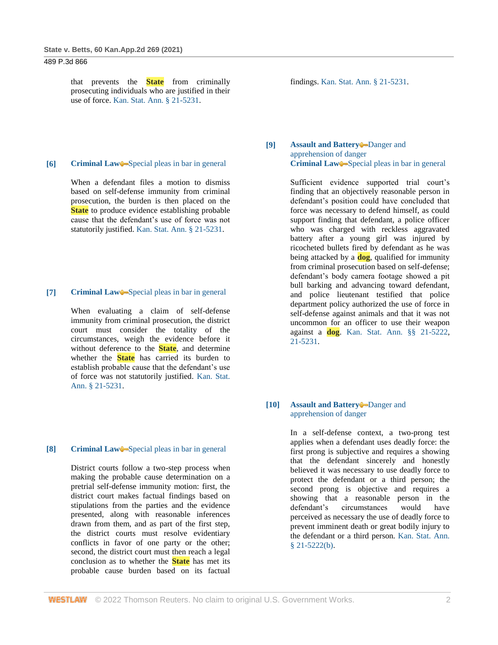that prevents the **State** from criminally prosecuting individuals who are justified in their use of force. [Kan. Stat. Ann. § 21-5231.](http://www.westlaw.com/Link/Document/FullText?findType=L&pubNum=1001553&cite=KSSTS21-5231&originatingDoc=I18388680d05411eb9f77ad1f6b0f4bfb&refType=LQ&originationContext=document&vr=3.0&rs=cblt1.0&transitionType=DocumentItem&contextData=(sc.Search))

#### **[6] [Criminal Law](http://www.westlaw.com/Browse/Home/KeyNumber/110/View.html?docGuid=I18388680d05411eb9f77ad1f6b0f4bfb&originationContext=document&vr=3.0&rs=cblt1.0&transitionType=DocumentItem&contextData=(sc.Search))**—[Special pleas in bar in general](http://www.westlaw.com/Browse/Home/KeyNumber/110k286/View.html?docGuid=I18388680d05411eb9f77ad1f6b0f4bfb&originationContext=document&vr=3.0&rs=cblt1.0&transitionType=DocumentItem&contextData=(sc.Search))

When a defendant files a motion to dismiss based on self-defense immunity from criminal prosecution, the burden is then placed on the **State** to produce evidence establishing probable cause that the defendant's use of force was not statutorily justified. [Kan. Stat. Ann. § 21-5231.](http://www.westlaw.com/Link/Document/FullText?findType=L&pubNum=1001553&cite=KSSTS21-5231&originatingDoc=I18388680d05411eb9f77ad1f6b0f4bfb&refType=LQ&originationContext=document&vr=3.0&rs=cblt1.0&transitionType=DocumentItem&contextData=(sc.Search))

## **[7] [Criminal Law](http://www.westlaw.com/Browse/Home/KeyNumber/110/View.html?docGuid=I18388680d05411eb9f77ad1f6b0f4bfb&originationContext=document&vr=3.0&rs=cblt1.0&transitionType=DocumentItem&contextData=(sc.Search))** [Special pleas in bar in general](http://www.westlaw.com/Browse/Home/KeyNumber/110k286/View.html?docGuid=I18388680d05411eb9f77ad1f6b0f4bfb&originationContext=document&vr=3.0&rs=cblt1.0&transitionType=DocumentItem&contextData=(sc.Search))

When evaluating a claim of self-defense immunity from criminal prosecution, the district court must consider the totality of the circumstances, weigh the evidence before it without deference to the **State**, and determine whether the **State** has carried its burden to establish probable cause that the defendant's use of force was not statutorily justified. [Kan. Stat.](http://www.westlaw.com/Link/Document/FullText?findType=L&pubNum=1001553&cite=KSSTS21-5231&originatingDoc=I18388680d05411eb9f77ad1f6b0f4bfb&refType=LQ&originationContext=document&vr=3.0&rs=cblt1.0&transitionType=DocumentItem&contextData=(sc.Search))  [Ann. § 21-5231.](http://www.westlaw.com/Link/Document/FullText?findType=L&pubNum=1001553&cite=KSSTS21-5231&originatingDoc=I18388680d05411eb9f77ad1f6b0f4bfb&refType=LQ&originationContext=document&vr=3.0&rs=cblt1.0&transitionType=DocumentItem&contextData=(sc.Search))

# **[8] [Criminal Law](http://www.westlaw.com/Browse/Home/KeyNumber/110/View.html?docGuid=I18388680d05411eb9f77ad1f6b0f4bfb&originationContext=document&vr=3.0&rs=cblt1.0&transitionType=DocumentItem&contextData=(sc.Search))** [Special pleas in bar in general](http://www.westlaw.com/Browse/Home/KeyNumber/110k286/View.html?docGuid=I18388680d05411eb9f77ad1f6b0f4bfb&originationContext=document&vr=3.0&rs=cblt1.0&transitionType=DocumentItem&contextData=(sc.Search))

District courts follow a two-step process when making the probable cause determination on a pretrial self-defense immunity motion: first, the district court makes factual findings based on stipulations from the parties and the evidence presented, along with reasonable inferences drawn from them, and as part of the first step, the district courts must resolve evidentiary conflicts in favor of one party or the other; second, the district court must then reach a legal conclusion as to whether the **State** has met its probable cause burden based on its factual findings. [Kan. Stat. Ann. § 21-5231.](http://www.westlaw.com/Link/Document/FullText?findType=L&pubNum=1001553&cite=KSSTS21-5231&originatingDoc=I18388680d05411eb9f77ad1f6b0f4bfb&refType=LQ&originationContext=document&vr=3.0&rs=cblt1.0&transitionType=DocumentItem&contextData=(sc.Search))

## **[9] [Assault and Battery](http://www.westlaw.com/Browse/Home/KeyNumber/37/View.html?docGuid=I18388680d05411eb9f77ad1f6b0f4bfb&originationContext=document&vr=3.0&rs=cblt1.0&transitionType=DocumentItem&contextData=(sc.Search))** Danger and [apprehension of danger](http://www.westlaw.com/Browse/Home/KeyNumber/37k179/View.html?docGuid=I18388680d05411eb9f77ad1f6b0f4bfb&originationContext=document&vr=3.0&rs=cblt1.0&transitionType=DocumentItem&contextData=(sc.Search)) **[Criminal Law](http://www.westlaw.com/Browse/Home/KeyNumber/110/View.html?docGuid=I18388680d05411eb9f77ad1f6b0f4bfb&originationContext=document&vr=3.0&rs=cblt1.0&transitionType=DocumentItem&contextData=(sc.Search))** [Special pleas in bar in general](http://www.westlaw.com/Browse/Home/KeyNumber/110k286/View.html?docGuid=I18388680d05411eb9f77ad1f6b0f4bfb&originationContext=document&vr=3.0&rs=cblt1.0&transitionType=DocumentItem&contextData=(sc.Search))

Sufficient evidence supported trial court's finding that an objectively reasonable person in defendant's position could have concluded that force was necessary to defend himself, as could support finding that defendant, a police officer who was charged with reckless aggravated battery after a young girl was injured by ricocheted bullets fired by defendant as he was being attacked by a **dog**, qualified for immunity from criminal prosecution based on self-defense; defendant's body camera footage showed a pit bull barking and advancing toward defendant, and police lieutenant testified that police department policy authorized the use of force in self-defense against animals and that it was not uncommon for an officer to use their weapon against a **dog**. [Kan. Stat. Ann. §§ 21-5222,](http://www.westlaw.com/Link/Document/FullText?findType=L&pubNum=1001553&cite=KSSTS21-5222&originatingDoc=I18388680d05411eb9f77ad1f6b0f4bfb&refType=LQ&originationContext=document&vr=3.0&rs=cblt1.0&transitionType=DocumentItem&contextData=(sc.Search)) [21-5231.](http://www.westlaw.com/Link/Document/FullText?findType=L&pubNum=1001553&cite=KSSTS21-5231&originatingDoc=I18388680d05411eb9f77ad1f6b0f4bfb&refType=LQ&originationContext=document&vr=3.0&rs=cblt1.0&transitionType=DocumentItem&contextData=(sc.Search))

# **[10] [Assault and Battery](http://www.westlaw.com/Browse/Home/KeyNumber/37/View.html?docGuid=I18388680d05411eb9f77ad1f6b0f4bfb&originationContext=document&vr=3.0&rs=cblt1.0&transitionType=DocumentItem&contextData=(sc.Search))** Danger and [apprehension of danger](http://www.westlaw.com/Browse/Home/KeyNumber/37k179/View.html?docGuid=I18388680d05411eb9f77ad1f6b0f4bfb&originationContext=document&vr=3.0&rs=cblt1.0&transitionType=DocumentItem&contextData=(sc.Search))

In a self-defense context, a two-prong test applies when a defendant uses deadly force: the first prong is subjective and requires a showing that the defendant sincerely and honestly believed it was necessary to use deadly force to protect the defendant or a third person; the second prong is objective and requires a showing that a reasonable person in the defendant's circumstances would have perceived as necessary the use of deadly force to prevent imminent death or great bodily injury to the defendant or a third person. [Kan. Stat. Ann.](http://www.westlaw.com/Link/Document/FullText?findType=L&pubNum=1001553&cite=KSSTS21-5222&originatingDoc=I18388680d05411eb9f77ad1f6b0f4bfb&refType=SP&originationContext=document&vr=3.0&rs=cblt1.0&transitionType=DocumentItem&contextData=(sc.Search)#co_pp_a83b000018c76)  [§ 21-5222\(b\).](http://www.westlaw.com/Link/Document/FullText?findType=L&pubNum=1001553&cite=KSSTS21-5222&originatingDoc=I18388680d05411eb9f77ad1f6b0f4bfb&refType=SP&originationContext=document&vr=3.0&rs=cblt1.0&transitionType=DocumentItem&contextData=(sc.Search)#co_pp_a83b000018c76)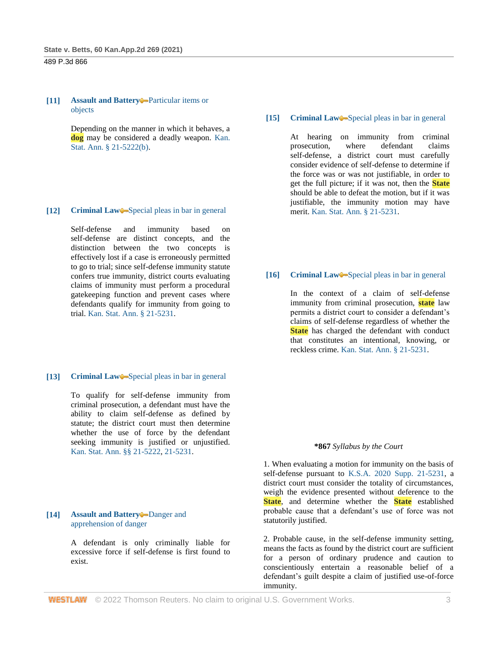## **[11] [Assault and Battery](http://www.westlaw.com/Browse/Home/KeyNumber/37/View.html?docGuid=I18388680d05411eb9f77ad1f6b0f4bfb&originationContext=document&vr=3.0&rs=cblt1.0&transitionType=DocumentItem&contextData=(sc.Search))** Particular items or [objects](http://www.westlaw.com/Browse/Home/KeyNumber/37k135/View.html?docGuid=I18388680d05411eb9f77ad1f6b0f4bfb&originationContext=document&vr=3.0&rs=cblt1.0&transitionType=DocumentItem&contextData=(sc.Search))

Depending on the manner in which it behaves, a **dog** may be considered a deadly weapon. [Kan.](http://www.westlaw.com/Link/Document/FullText?findType=L&pubNum=1001553&cite=KSSTS21-5222&originatingDoc=I18388680d05411eb9f77ad1f6b0f4bfb&refType=SP&originationContext=document&vr=3.0&rs=cblt1.0&transitionType=DocumentItem&contextData=(sc.Search)#co_pp_a83b000018c76)  [Stat. Ann. § 21-5222\(b\).](http://www.westlaw.com/Link/Document/FullText?findType=L&pubNum=1001553&cite=KSSTS21-5222&originatingDoc=I18388680d05411eb9f77ad1f6b0f4bfb&refType=SP&originationContext=document&vr=3.0&rs=cblt1.0&transitionType=DocumentItem&contextData=(sc.Search)#co_pp_a83b000018c76)

# [12] **[Criminal Law](http://www.westlaw.com/Browse/Home/KeyNumber/110/View.html?docGuid=I18388680d05411eb9f77ad1f6b0f4bfb&originationContext=document&vr=3.0&rs=cblt1.0&transitionType=DocumentItem&contextData=(sc.Search))** [Special pleas in bar in general](http://www.westlaw.com/Browse/Home/KeyNumber/110k286/View.html?docGuid=I18388680d05411eb9f77ad1f6b0f4bfb&originationContext=document&vr=3.0&rs=cblt1.0&transitionType=DocumentItem&contextData=(sc.Search))

Self-defense and immunity based on self-defense are distinct concepts, and the distinction between the two concepts is effectively lost if a case is erroneously permitted to go to trial; since self-defense immunity statute confers true immunity, district courts evaluating claims of immunity must perform a procedural gatekeeping function and prevent cases where defendants qualify for immunity from going to trial. [Kan. Stat. Ann. § 21-5231.](http://www.westlaw.com/Link/Document/FullText?findType=L&pubNum=1001553&cite=KSSTS21-5231&originatingDoc=I18388680d05411eb9f77ad1f6b0f4bfb&refType=LQ&originationContext=document&vr=3.0&rs=cblt1.0&transitionType=DocumentItem&contextData=(sc.Search))

# [13] **[Criminal Law](http://www.westlaw.com/Browse/Home/KeyNumber/110/View.html?docGuid=I18388680d05411eb9f77ad1f6b0f4bfb&originationContext=document&vr=3.0&rs=cblt1.0&transitionType=DocumentItem&contextData=(sc.Search))** [Special pleas in bar in general](http://www.westlaw.com/Browse/Home/KeyNumber/110k286/View.html?docGuid=I18388680d05411eb9f77ad1f6b0f4bfb&originationContext=document&vr=3.0&rs=cblt1.0&transitionType=DocumentItem&contextData=(sc.Search))

To qualify for self-defense immunity from criminal prosecution, a defendant must have the ability to claim self-defense as defined by statute; the district court must then determine whether the use of force by the defendant seeking immunity is justified or unjustified. [Kan. Stat. Ann. §§ 21-5222,](http://www.westlaw.com/Link/Document/FullText?findType=L&pubNum=1001553&cite=KSSTS21-5222&originatingDoc=I18388680d05411eb9f77ad1f6b0f4bfb&refType=LQ&originationContext=document&vr=3.0&rs=cblt1.0&transitionType=DocumentItem&contextData=(sc.Search)) [21-5231.](http://www.westlaw.com/Link/Document/FullText?findType=L&pubNum=1001553&cite=KSSTS21-5231&originatingDoc=I18388680d05411eb9f77ad1f6b0f4bfb&refType=LQ&originationContext=document&vr=3.0&rs=cblt1.0&transitionType=DocumentItem&contextData=(sc.Search))

# **[14] [Assault and Battery](http://www.westlaw.com/Browse/Home/KeyNumber/37/View.html?docGuid=I18388680d05411eb9f77ad1f6b0f4bfb&originationContext=document&vr=3.0&rs=cblt1.0&transitionType=DocumentItem&contextData=(sc.Search))** Danger and [apprehension of danger](http://www.westlaw.com/Browse/Home/KeyNumber/37k179/View.html?docGuid=I18388680d05411eb9f77ad1f6b0f4bfb&originationContext=document&vr=3.0&rs=cblt1.0&transitionType=DocumentItem&contextData=(sc.Search))

A defendant is only criminally liable for excessive force if self-defense is first found to exist.

# **[15] [Criminal Law](http://www.westlaw.com/Browse/Home/KeyNumber/110/View.html?docGuid=I18388680d05411eb9f77ad1f6b0f4bfb&originationContext=document&vr=3.0&rs=cblt1.0&transitionType=DocumentItem&contextData=(sc.Search))** [Special pleas in bar in general](http://www.westlaw.com/Browse/Home/KeyNumber/110k286/View.html?docGuid=I18388680d05411eb9f77ad1f6b0f4bfb&originationContext=document&vr=3.0&rs=cblt1.0&transitionType=DocumentItem&contextData=(sc.Search))

At hearing on immunity from criminal prosecution, where defendant claims self-defense, a district court must carefully consider evidence of self-defense to determine if the force was or was not justifiable, in order to get the full picture; if it was not, then the **State** should be able to defeat the motion, but if it was justifiable, the immunity motion may have merit. [Kan. Stat. Ann. § 21-5231.](http://www.westlaw.com/Link/Document/FullText?findType=L&pubNum=1001553&cite=KSSTS21-5231&originatingDoc=I18388680d05411eb9f77ad1f6b0f4bfb&refType=LQ&originationContext=document&vr=3.0&rs=cblt1.0&transitionType=DocumentItem&contextData=(sc.Search))

## **[16] [Criminal Law](http://www.westlaw.com/Browse/Home/KeyNumber/110/View.html?docGuid=I18388680d05411eb9f77ad1f6b0f4bfb&originationContext=document&vr=3.0&rs=cblt1.0&transitionType=DocumentItem&contextData=(sc.Search))**—[Special pleas in bar in general](http://www.westlaw.com/Browse/Home/KeyNumber/110k286/View.html?docGuid=I18388680d05411eb9f77ad1f6b0f4bfb&originationContext=document&vr=3.0&rs=cblt1.0&transitionType=DocumentItem&contextData=(sc.Search))

In the context of a claim of self-defense immunity from criminal prosecution, **state** law permits a district court to consider a defendant's claims of self-defense regardless of whether the **State** has charged the defendant with conduct that constitutes an intentional, knowing, or reckless crime. [Kan. Stat. Ann. § 21-5231.](http://www.westlaw.com/Link/Document/FullText?findType=L&pubNum=1001553&cite=KSSTS21-5231&originatingDoc=I18388680d05411eb9f77ad1f6b0f4bfb&refType=LQ&originationContext=document&vr=3.0&rs=cblt1.0&transitionType=DocumentItem&contextData=(sc.Search))

#### **\*867** *Syllabus by the Court*

1. When evaluating a motion for immunity on the basis of self-defense pursuant to [K.S.A. 2020 Supp. 21-5231,](http://www.westlaw.com/Link/Document/FullText?findType=L&pubNum=1001553&cite=KSSTS21-5231&originatingDoc=I18388680d05411eb9f77ad1f6b0f4bfb&refType=LQ&originationContext=document&vr=3.0&rs=cblt1.0&transitionType=DocumentItem&contextData=(sc.Search)) a district court must consider the totality of circumstances, weigh the evidence presented without deference to the **State**, and determine whether the **State** established probable cause that a defendant's use of force was not statutorily justified.

2. Probable cause, in the self-defense immunity setting, means the facts as found by the district court are sufficient for a person of ordinary prudence and caution to conscientiously entertain a reasonable belief of a defendant's guilt despite a claim of justified use-of-force immunity.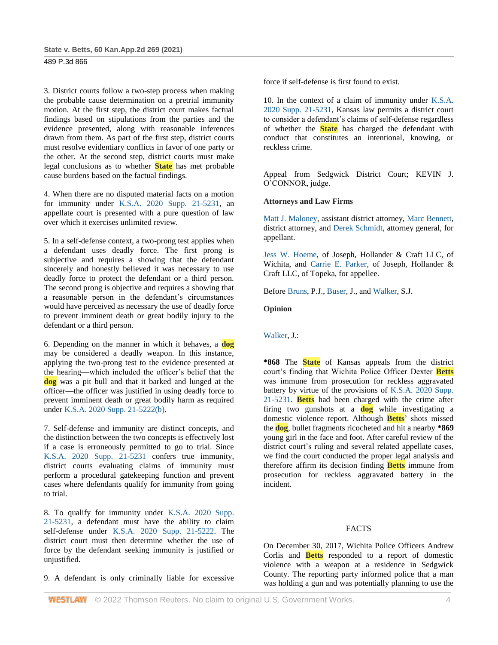3. District courts follow a two-step process when making the probable cause determination on a pretrial immunity motion. At the first step, the district court makes factual findings based on stipulations from the parties and the evidence presented, along with reasonable inferences drawn from them. As part of the first step, district courts must resolve evidentiary conflicts in favor of one party or the other. At the second step, district courts must make legal conclusions as to whether **State** has met probable cause burdens based on the factual findings.

4. When there are no disputed material facts on a motion for immunity under [K.S.A. 2020 Supp. 21-5231,](http://www.westlaw.com/Link/Document/FullText?findType=L&pubNum=1001553&cite=KSSTS21-5231&originatingDoc=I18388680d05411eb9f77ad1f6b0f4bfb&refType=LQ&originationContext=document&vr=3.0&rs=cblt1.0&transitionType=DocumentItem&contextData=(sc.Search)) an appellate court is presented with a pure question of law over which it exercises unlimited review.

5. In a self-defense context, a two-prong test applies when a defendant uses deadly force. The first prong is subjective and requires a showing that the defendant sincerely and honestly believed it was necessary to use deadly force to protect the defendant or a third person. The second prong is objective and requires a showing that a reasonable person in the defendant's circumstances would have perceived as necessary the use of deadly force to prevent imminent death or great bodily injury to the defendant or a third person.

6. Depending on the manner in which it behaves, a **dog** may be considered a deadly weapon. In this instance, applying the two-prong test to the evidence presented at the hearing—which included the officer's belief that the **dog** was a pit bull and that it barked and lunged at the officer—the officer was justified in using deadly force to prevent imminent death or great bodily harm as required under [K.S.A. 2020 Supp. 21-5222\(b\).](http://www.westlaw.com/Link/Document/FullText?findType=L&pubNum=1001553&cite=KSSTS21-5222&originatingDoc=I18388680d05411eb9f77ad1f6b0f4bfb&refType=SP&originationContext=document&vr=3.0&rs=cblt1.0&transitionType=DocumentItem&contextData=(sc.Search)#co_pp_a83b000018c76)

7. Self-defense and immunity are distinct concepts, and the distinction between the two concepts is effectively lost if a case is erroneously permitted to go to trial. Since [K.S.A. 2020 Supp. 21-5231](http://www.westlaw.com/Link/Document/FullText?findType=L&pubNum=1001553&cite=KSSTS21-5231&originatingDoc=I18388680d05411eb9f77ad1f6b0f4bfb&refType=LQ&originationContext=document&vr=3.0&rs=cblt1.0&transitionType=DocumentItem&contextData=(sc.Search)) confers true immunity, district courts evaluating claims of immunity must perform a procedural gatekeeping function and prevent cases where defendants qualify for immunity from going to trial.

8. To qualify for immunity under [K.S.A. 2020 Supp.](http://www.westlaw.com/Link/Document/FullText?findType=L&pubNum=1001553&cite=KSSTS21-5231&originatingDoc=I18388680d05411eb9f77ad1f6b0f4bfb&refType=LQ&originationContext=document&vr=3.0&rs=cblt1.0&transitionType=DocumentItem&contextData=(sc.Search))  [21-5231,](http://www.westlaw.com/Link/Document/FullText?findType=L&pubNum=1001553&cite=KSSTS21-5231&originatingDoc=I18388680d05411eb9f77ad1f6b0f4bfb&refType=LQ&originationContext=document&vr=3.0&rs=cblt1.0&transitionType=DocumentItem&contextData=(sc.Search)) a defendant must have the ability to claim self-defense under [K.S.A. 2020 Supp. 21-5222.](http://www.westlaw.com/Link/Document/FullText?findType=L&pubNum=1001553&cite=KSSTS21-5222&originatingDoc=I18388680d05411eb9f77ad1f6b0f4bfb&refType=LQ&originationContext=document&vr=3.0&rs=cblt1.0&transitionType=DocumentItem&contextData=(sc.Search)) The district court must then determine whether the use of force by the defendant seeking immunity is justified or unjustified.

9. A defendant is only criminally liable for excessive

force if self-defense is first found to exist.

10. In the context of a claim of immunity under [K.S.A.](http://www.westlaw.com/Link/Document/FullText?findType=L&pubNum=1001553&cite=KSSTS21-5231&originatingDoc=I18388680d05411eb9f77ad1f6b0f4bfb&refType=LQ&originationContext=document&vr=3.0&rs=cblt1.0&transitionType=DocumentItem&contextData=(sc.Search))  [2020 Supp. 21-5231,](http://www.westlaw.com/Link/Document/FullText?findType=L&pubNum=1001553&cite=KSSTS21-5231&originatingDoc=I18388680d05411eb9f77ad1f6b0f4bfb&refType=LQ&originationContext=document&vr=3.0&rs=cblt1.0&transitionType=DocumentItem&contextData=(sc.Search)) Kansas law permits a district court to consider a defendant's claims of self-defense regardless of whether the **State** has charged the defendant with conduct that constitutes an intentional, knowing, or reckless crime.

Appeal from Sedgwick District Court; KEVIN J. O'CONNOR, judge.

# **Attorneys and Law Firms**

[Matt J. Maloney,](http://www.westlaw.com/Link/Document/FullText?findType=h&pubNum=176284&cite=0307981901&originatingDoc=I18388680d05411eb9f77ad1f6b0f4bfb&refType=RQ&originationContext=document&vr=3.0&rs=cblt1.0&transitionType=DocumentItem&contextData=(sc.Search)) assistant district attorney, [Marc Bennett,](http://www.westlaw.com/Link/Document/FullText?findType=h&pubNum=176284&cite=0110913601&originatingDoc=I18388680d05411eb9f77ad1f6b0f4bfb&refType=RQ&originationContext=document&vr=3.0&rs=cblt1.0&transitionType=DocumentItem&contextData=(sc.Search)) district attorney, and [Derek Schmidt,](http://www.westlaw.com/Link/Document/FullText?findType=h&pubNum=176284&cite=0456354901&originatingDoc=I18388680d05411eb9f77ad1f6b0f4bfb&refType=RQ&originationContext=document&vr=3.0&rs=cblt1.0&transitionType=DocumentItem&contextData=(sc.Search)) attorney general, for appellant.

[Jess W. Hoeme,](http://www.westlaw.com/Link/Document/FullText?findType=h&pubNum=176284&cite=0463501601&originatingDoc=I18388680d05411eb9f77ad1f6b0f4bfb&refType=RQ&originationContext=document&vr=3.0&rs=cblt1.0&transitionType=DocumentItem&contextData=(sc.Search)) of Joseph, Hollander & Craft LLC, of Wichita, and [Carrie E. Parker,](http://www.westlaw.com/Link/Document/FullText?findType=h&pubNum=176284&cite=0488274101&originatingDoc=I18388680d05411eb9f77ad1f6b0f4bfb&refType=RQ&originationContext=document&vr=3.0&rs=cblt1.0&transitionType=DocumentItem&contextData=(sc.Search)) of Joseph, Hollander & Craft LLC, of Topeka, for appellee.

Befor[e Bruns,](http://www.westlaw.com/Link/Document/FullText?findType=h&pubNum=176284&cite=0184625301&originatingDoc=I18388680d05411eb9f77ad1f6b0f4bfb&refType=RQ&originationContext=document&vr=3.0&rs=cblt1.0&transitionType=DocumentItem&contextData=(sc.Search)) P.J., [Buser,](http://www.westlaw.com/Link/Document/FullText?findType=h&pubNum=176284&cite=0127779001&originatingDoc=I18388680d05411eb9f77ad1f6b0f4bfb&refType=RQ&originationContext=document&vr=3.0&rs=cblt1.0&transitionType=DocumentItem&contextData=(sc.Search)) J., an[d Walker,](http://www.westlaw.com/Link/Document/FullText?findType=h&pubNum=176284&cite=0181791001&originatingDoc=I18388680d05411eb9f77ad1f6b0f4bfb&refType=RQ&originationContext=document&vr=3.0&rs=cblt1.0&transitionType=DocumentItem&contextData=(sc.Search)) S.J.

# **Opinion**

[Walker,](http://www.westlaw.com/Link/Document/FullText?findType=h&pubNum=176284&cite=0181791001&originatingDoc=I18388680d05411eb9f77ad1f6b0f4bfb&refType=RQ&originationContext=document&vr=3.0&rs=cblt1.0&transitionType=DocumentItem&contextData=(sc.Search)) J.:

**\*868** The **State** of Kansas appeals from the district court's finding that Wichita Police Officer Dexter **Betts** was immune from prosecution for reckless aggravated battery by virtue of the provisions of [K.S.A. 2020 Supp.](http://www.westlaw.com/Link/Document/FullText?findType=L&pubNum=1001553&cite=KSSTS21-5231&originatingDoc=I18388680d05411eb9f77ad1f6b0f4bfb&refType=LQ&originationContext=document&vr=3.0&rs=cblt1.0&transitionType=DocumentItem&contextData=(sc.Search))  [21-5231.](http://www.westlaw.com/Link/Document/FullText?findType=L&pubNum=1001553&cite=KSSTS21-5231&originatingDoc=I18388680d05411eb9f77ad1f6b0f4bfb&refType=LQ&originationContext=document&vr=3.0&rs=cblt1.0&transitionType=DocumentItem&contextData=(sc.Search)) **Betts** had been charged with the crime after firing two gunshots at a **dog** while investigating a domestic violence report. Although **Betts**' shots missed the **dog**, bullet fragments ricocheted and hit a nearby **\*869** young girl in the face and foot. After careful review of the district court's ruling and several related appellate cases, we find the court conducted the proper legal analysis and therefore affirm its decision finding **Betts** immune from prosecution for reckless aggravated battery in the incident.

# FACTS

On December 30, 2017, Wichita Police Officers Andrew Corlis and **Betts** responded to a report of domestic violence with a weapon at a residence in Sedgwick County. The reporting party informed police that a man was holding a gun and was potentially planning to use the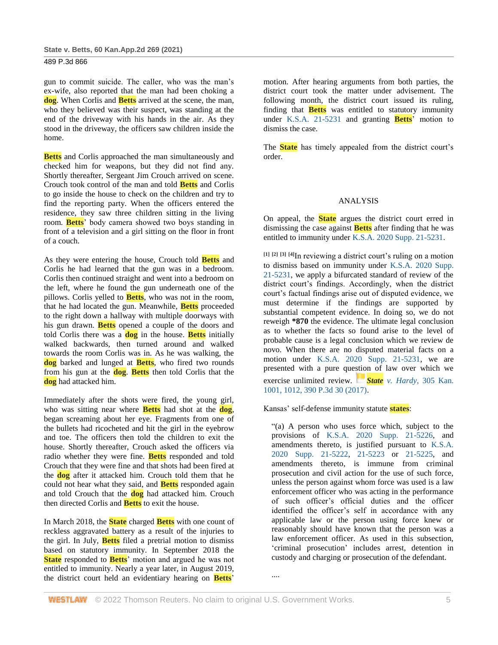| State v. Betts, 60 Kan.App.2d 269 (2021) |  |  |
|------------------------------------------|--|--|
|------------------------------------------|--|--|

gun to commit suicide. The caller, who was the man's ex-wife, also reported that the man had been choking a **dog**. When Corlis and **Betts** arrived at the scene, the man, who they believed was their suspect, was standing at the end of the driveway with his hands in the air. As they stood in the driveway, the officers saw children inside the home.

**Betts** and Corlis approached the man simultaneously and checked him for weapons, but they did not find any. Shortly thereafter, Sergeant Jim Crouch arrived on scene. Crouch took control of the man and told **Betts** and Corlis to go inside the house to check on the children and try to find the reporting party. When the officers entered the residence, they saw three children sitting in the living room. **Betts**' body camera showed two boys standing in front of a television and a girl sitting on the floor in front of a couch.

As they were entering the house, Crouch told **Betts** and Corlis he had learned that the gun was in a bedroom. Corlis then continued straight and went into a bedroom on the left, where he found the gun underneath one of the pillows. Corlis yelled to **Betts**, who was not in the room, that he had located the gun. Meanwhile, **Betts** proceeded to the right down a hallway with multiple doorways with his gun drawn. **Betts** opened a couple of the doors and told Corlis there was a **dog** in the house. **Betts** initially walked backwards, then turned around and walked towards the room Corlis was in. As he was walking, the **dog** barked and lunged at **Betts**, who fired two rounds from his gun at the **dog**. **Betts** then told Corlis that the **dog** had attacked him.

Immediately after the shots were fired, the young girl, who was sitting near where **Betts** had shot at the **dog**, began screaming about her eye. Fragments from one of the bullets had ricocheted and hit the girl in the eyebrow and toe. The officers then told the children to exit the house. Shortly thereafter, Crouch asked the officers via radio whether they were fine. **Betts** responded and told Crouch that they were fine and that shots had been fired at the **dog** after it attacked him. Crouch told them that he could not hear what they said, and **Betts** responded again and told Crouch that the **dog** had attacked him. Crouch then directed Corlis and **Betts** to exit the house.

In March 2018, the **State** charged **Betts** with one count of reckless aggravated battery as a result of the injuries to the girl. In July, **Betts** filed a pretrial motion to dismiss based on statutory immunity. In September 2018 the **State** responded to **Betts**' motion and argued he was not entitled to immunity. Nearly a year later, in August 2019, the district court held an evidentiary hearing on **Betts**'

motion. After hearing arguments from both parties, the district court took the matter under advisement. The following month, the district court issued its ruling, finding that **Betts** was entitled to statutory immunity under [K.S.A. 21-5231](http://www.westlaw.com/Link/Document/FullText?findType=L&pubNum=1001553&cite=KSSTS21-5231&originatingDoc=I18388680d05411eb9f77ad1f6b0f4bfb&refType=LQ&originationContext=document&vr=3.0&rs=cblt1.0&transitionType=DocumentItem&contextData=(sc.Search)) and granting **Betts**' motion to dismiss the case.

The **State** has timely appealed from the district court's order.

## ANALYSIS

On appeal, the **State** argues the district court erred in dismissing the case against **Betts** after finding that he was entitled to immunity under [K.S.A. 2020 Supp. 21-5231.](http://www.westlaw.com/Link/Document/FullText?findType=L&pubNum=1001553&cite=KSSTS21-5231&originatingDoc=I18388680d05411eb9f77ad1f6b0f4bfb&refType=LQ&originationContext=document&vr=3.0&rs=cblt1.0&transitionType=DocumentItem&contextData=(sc.Search))

**[1] [2] [3] [4]**In reviewing a district court's ruling on a motion to dismiss based on immunity under [K.S.A. 2020 Supp.](http://www.westlaw.com/Link/Document/FullText?findType=L&pubNum=1001553&cite=KSSTS21-5231&originatingDoc=I18388680d05411eb9f77ad1f6b0f4bfb&refType=LQ&originationContext=document&vr=3.0&rs=cblt1.0&transitionType=DocumentItem&contextData=(sc.Search))  [21-5231,](http://www.westlaw.com/Link/Document/FullText?findType=L&pubNum=1001553&cite=KSSTS21-5231&originatingDoc=I18388680d05411eb9f77ad1f6b0f4bfb&refType=LQ&originationContext=document&vr=3.0&rs=cblt1.0&transitionType=DocumentItem&contextData=(sc.Search)) we apply a bifurcated standard of review of the district court's findings. Accordingly, when the district court's factual findings arise out of disputed evidence, we must determine if the findings are supported by substantial competent evidence. In doing so, we do not reweigh **\*870** the evidence. The ultimate legal conclusion as to whether the facts so found arise to the level of probable cause is a legal conclusion which we review de novo. When there are no disputed material facts on a motion under [K.S.A. 2020 Supp. 21-5231,](http://www.westlaw.com/Link/Document/FullText?findType=L&pubNum=1001553&cite=KSSTS21-5231&originatingDoc=I18388680d05411eb9f77ad1f6b0f4bfb&refType=LQ&originationContext=document&vr=3.0&rs=cblt1.0&transitionType=DocumentItem&contextData=(sc.Search)) we are presented with a pure question of law over which we exercise unlimited review. *[S](https://1.next.westlaw.com/Link/RelatedInformation/Flag?documentGuid=Iac380380098211e7b984d2f99f0977c6&transitionType=InlineKeyCiteFlags&originationContext=docHeaderFlag&Rank=1&ppcid=24b44668aca74585959decee48c31b60&contextData=(sc.Search))tate v. Hardy*[, 305 Kan.](https://1.next.westlaw.com/Link/RelatedInformation/Flag?documentGuid=Iac380380098211e7b984d2f99f0977c6&transitionType=InlineKeyCiteFlags&originationContext=docHeaderFlag&Rank=1&ppcid=24b44668aca74585959decee48c31b60&contextData=(sc.Search))  [1001, 1012, 390 P.3d 30 \(2017\).](http://www.westlaw.com/Link/Document/FullText?findType=Y&serNum=2041235268&pubNum=0000458&originatingDoc=I18388680d05411eb9f77ad1f6b0f4bfb&refType=RP&fi=co_pp_sp_458_1012&originationContext=document&vr=3.0&rs=cblt1.0&transitionType=DocumentItem&contextData=(sc.Search)#co_pp_sp_458_1012)

Kansas' self-defense immunity statute **states**:

"(a) A person who uses force which, subject to the provisions of [K.S.A. 2020 Supp. 21-5226,](http://www.westlaw.com/Link/Document/FullText?findType=L&pubNum=1001553&cite=KSSTS21-5226&originatingDoc=I18388680d05411eb9f77ad1f6b0f4bfb&refType=LQ&originationContext=document&vr=3.0&rs=cblt1.0&transitionType=DocumentItem&contextData=(sc.Search)) and amendments thereto, is justified pursuant to [K.S.A.](http://www.westlaw.com/Link/Document/FullText?findType=L&pubNum=1001553&cite=KSSTS21-5222&originatingDoc=I18388680d05411eb9f77ad1f6b0f4bfb&refType=LQ&originationContext=document&vr=3.0&rs=cblt1.0&transitionType=DocumentItem&contextData=(sc.Search))  [2020 Supp. 21-5222,](http://www.westlaw.com/Link/Document/FullText?findType=L&pubNum=1001553&cite=KSSTS21-5222&originatingDoc=I18388680d05411eb9f77ad1f6b0f4bfb&refType=LQ&originationContext=document&vr=3.0&rs=cblt1.0&transitionType=DocumentItem&contextData=(sc.Search)) [21-5223](http://www.westlaw.com/Link/Document/FullText?findType=L&pubNum=1001553&cite=KSSTS21-5223&originatingDoc=I18388680d05411eb9f77ad1f6b0f4bfb&refType=LQ&originationContext=document&vr=3.0&rs=cblt1.0&transitionType=DocumentItem&contextData=(sc.Search)) or [21-5225,](http://www.westlaw.com/Link/Document/FullText?findType=L&pubNum=1001553&cite=KSSTS21-5225&originatingDoc=I18388680d05411eb9f77ad1f6b0f4bfb&refType=LQ&originationContext=document&vr=3.0&rs=cblt1.0&transitionType=DocumentItem&contextData=(sc.Search)) and amendments thereto, is immune from criminal prosecution and civil action for the use of such force, unless the person against whom force was used is a law enforcement officer who was acting in the performance of such officer's official duties and the officer identified the officer's self in accordance with any applicable law or the person using force knew or reasonably should have known that the person was a law enforcement officer. As used in this subsection, 'criminal prosecution' includes arrest, detention in custody and charging or prosecution of the defendant.

....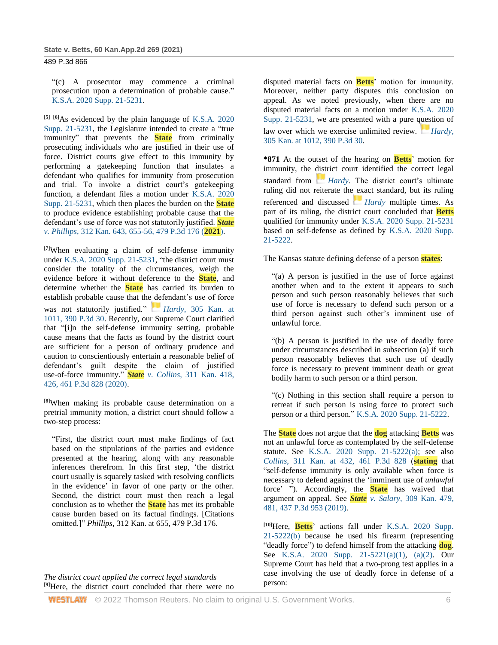"(c) A prosecutor may commence a criminal prosecution upon a determination of probable cause." [K.S.A. 2020 Supp. 21-5231.](http://www.westlaw.com/Link/Document/FullText?findType=L&pubNum=1001553&cite=KSSTS21-5231&originatingDoc=I18388680d05411eb9f77ad1f6b0f4bfb&refType=LQ&originationContext=document&vr=3.0&rs=cblt1.0&transitionType=DocumentItem&contextData=(sc.Search))

**[5] [6]**As evidenced by the plain language of [K.S.A. 2020](http://www.westlaw.com/Link/Document/FullText?findType=L&pubNum=1001553&cite=KSSTS21-5231&originatingDoc=I18388680d05411eb9f77ad1f6b0f4bfb&refType=LQ&originationContext=document&vr=3.0&rs=cblt1.0&transitionType=DocumentItem&contextData=(sc.Search))  [Supp. 21-5231,](http://www.westlaw.com/Link/Document/FullText?findType=L&pubNum=1001553&cite=KSSTS21-5231&originatingDoc=I18388680d05411eb9f77ad1f6b0f4bfb&refType=LQ&originationContext=document&vr=3.0&rs=cblt1.0&transitionType=DocumentItem&contextData=(sc.Search)) the Legislature intended to create a "true immunity" that prevents the **State** from criminally prosecuting individuals who are justified in their use of force. District courts give effect to this immunity by performing a gatekeeping function that insulates a defendant who qualifies for immunity from prosecution and trial. To invoke a district court's gatekeeping function, a defendant files a motion under [K.S.A.](http://www.westlaw.com/Link/Document/FullText?findType=L&pubNum=1001553&cite=KSSTS21-5231&originatingDoc=I18388680d05411eb9f77ad1f6b0f4bfb&refType=LQ&originationContext=document&vr=3.0&rs=cblt1.0&transitionType=DocumentItem&contextData=(sc.Search)) 2020 [Supp. 21-5231,](http://www.westlaw.com/Link/Document/FullText?findType=L&pubNum=1001553&cite=KSSTS21-5231&originatingDoc=I18388680d05411eb9f77ad1f6b0f4bfb&refType=LQ&originationContext=document&vr=3.0&rs=cblt1.0&transitionType=DocumentItem&contextData=(sc.Search)) which then places the burden on the **State** to produce evidence establishing probable cause that the defendant's use of force was not statutorily justified. *[State](http://www.westlaw.com/Link/Document/FullText?findType=Y&serNum=2052771297&pubNum=0004645&originatingDoc=I18388680d05411eb9f77ad1f6b0f4bfb&refType=RP&originationContext=document&vr=3.0&rs=cblt1.0&transitionType=DocumentItem&contextData=(sc.Search)) v. Phillips*[, 312 Kan. 643, 655-56, 479 P.3d 176 \(](http://www.westlaw.com/Link/Document/FullText?findType=Y&serNum=2052771297&pubNum=0004645&originatingDoc=I18388680d05411eb9f77ad1f6b0f4bfb&refType=RP&originationContext=document&vr=3.0&rs=cblt1.0&transitionType=DocumentItem&contextData=(sc.Search))**2021**).

**[7]**When evaluating a claim of self-defense immunity under [K.S.A. 2020 Supp. 21-5231,](http://www.westlaw.com/Link/Document/FullText?findType=L&pubNum=1001553&cite=KSSTS21-5231&originatingDoc=I18388680d05411eb9f77ad1f6b0f4bfb&refType=LQ&originationContext=document&vr=3.0&rs=cblt1.0&transitionType=DocumentItem&contextData=(sc.Search)) "the district court must consider the totality of the circumstances, weigh the evidence before it without deference to the **State**, and determine whether the **State** has carried its burden to establish probable cause that the defendant's use of force was not statutorily justified." *[H](https://1.next.westlaw.com/Link/RelatedInformation/Flag?documentGuid=Iac380380098211e7b984d2f99f0977c6&transitionType=InlineKeyCiteFlags&originationContext=docHeaderFlag&Rank=1&ppcid=24b44668aca74585959decee48c31b60&contextData=(sc.Search))ardy*[, 305 Kan. at](https://1.next.westlaw.com/Link/RelatedInformation/Flag?documentGuid=Iac380380098211e7b984d2f99f0977c6&transitionType=InlineKeyCiteFlags&originationContext=docHeaderFlag&Rank=1&ppcid=24b44668aca74585959decee48c31b60&contextData=(sc.Search))  [1011, 390 P.3d 30.](http://www.westlaw.com/Link/Document/FullText?findType=Y&serNum=2041235268&pubNum=0000458&originatingDoc=I18388680d05411eb9f77ad1f6b0f4bfb&refType=RP&fi=co_pp_sp_458_1011&originationContext=document&vr=3.0&rs=cblt1.0&transitionType=DocumentItem&contextData=(sc.Search)#co_pp_sp_458_1011) Recently, our Supreme Court clarified that "[i]n the self-defense immunity setting, probable cause means that the facts as found by the district court are sufficient for a person of ordinary prudence and caution to conscientiously entertain a reasonable belief of defendant's guilt despite the claim of justified use-of-force immunity." *State v. Collins*[, 311 Kan. 418,](http://www.westlaw.com/Link/Document/FullText?findType=Y&serNum=2050838347&pubNum=0000458&originatingDoc=I18388680d05411eb9f77ad1f6b0f4bfb&refType=RP&fi=co_pp_sp_458_426&originationContext=document&vr=3.0&rs=cblt1.0&transitionType=DocumentItem&contextData=(sc.Search)#co_pp_sp_458_426)  [426, 461 P.3d 828 \(2020\).](http://www.westlaw.com/Link/Document/FullText?findType=Y&serNum=2050838347&pubNum=0000458&originatingDoc=I18388680d05411eb9f77ad1f6b0f4bfb&refType=RP&fi=co_pp_sp_458_426&originationContext=document&vr=3.0&rs=cblt1.0&transitionType=DocumentItem&contextData=(sc.Search)#co_pp_sp_458_426)

**[8]**When making its probable cause determination on a pretrial immunity motion, a district court should follow a two-step process:

"First, the district court must make findings of fact based on the stipulations of the parties and evidence presented at the hearing, along with any reasonable inferences therefrom. In this first step, 'the district court usually is squarely tasked with resolving conflicts in the evidence' in favor of one party or the other. Second, the district court must then reach a legal conclusion as to whether the **State** has met its probable cause burden based on its factual findings. [Citations omitted.]" *Phillips*, 312 Kan. at 655, 479 P.3d 176.

*The district court applied the correct legal standards* **[9]**Here, the district court concluded that there were no disputed material facts on **Betts**' motion for immunity. Moreover, neither party disputes this conclusion on appeal. As we noted previously, when there are no disputed material facts on a motion under [K.S.A. 2020](http://www.westlaw.com/Link/Document/FullText?findType=L&pubNum=1001553&cite=KSSTS21-5231&originatingDoc=I18388680d05411eb9f77ad1f6b0f4bfb&refType=LQ&originationContext=document&vr=3.0&rs=cblt1.0&transitionType=DocumentItem&contextData=(sc.Search))  [Supp. 21-5231,](http://www.westlaw.com/Link/Document/FullText?findType=L&pubNum=1001553&cite=KSSTS21-5231&originatingDoc=I18388680d05411eb9f77ad1f6b0f4bfb&refType=LQ&originationContext=document&vr=3.0&rs=cblt1.0&transitionType=DocumentItem&contextData=(sc.Search)) we are presented with a pure question of law over which we exercise unlimited review. *[Hardy](https://1.next.westlaw.com/Link/RelatedInformation/Flag?documentGuid=Iac380380098211e7b984d2f99f0977c6&transitionType=InlineKeyCiteFlags&originationContext=docHeaderFlag&Rank=1&ppcid=24b44668aca74585959decee48c31b60&contextData=(sc.Search))*, [305 Kan. at 1012, 390 P.3d 30.](http://www.westlaw.com/Link/Document/FullText?findType=Y&serNum=2041235268&pubNum=0000458&originatingDoc=I18388680d05411eb9f77ad1f6b0f4bfb&refType=RP&fi=co_pp_sp_458_1012&originationContext=document&vr=3.0&rs=cblt1.0&transitionType=DocumentItem&contextData=(sc.Search)#co_pp_sp_458_1012)

**\*871** At the outset of the hearing on **Betts**' motion for immunity, the district court identified the correct legal standard from *[Hardy](https://1.next.westlaw.com/Link/RelatedInformation/Flag?documentGuid=Iac380380098211e7b984d2f99f0977c6&transitionType=InlineKeyCiteFlags&originationContext=docHeaderFlag&Rank=1&ppcid=24b44668aca74585959decee48c31b60&contextData=(sc.Search))*. The district court's ultimate ruling did not reiterate the exact standard, but its ruling referenced and discussed *[Hardy](https://1.next.westlaw.com/Link/RelatedInformation/Flag?documentGuid=Iac380380098211e7b984d2f99f0977c6&transitionType=InlineKeyCiteFlags&originationContext=docHeaderFlag&Rank=1&ppcid=24b44668aca74585959decee48c31b60&contextData=(sc.Search))* multiple times. As part of its ruling, the district court concluded that **Betts** qualified for immunity under [K.S.A. 2020 Supp. 21-5231](http://www.westlaw.com/Link/Document/FullText?findType=L&pubNum=1001553&cite=KSSTS21-5231&originatingDoc=I18388680d05411eb9f77ad1f6b0f4bfb&refType=LQ&originationContext=document&vr=3.0&rs=cblt1.0&transitionType=DocumentItem&contextData=(sc.Search)) based on self-defense as defined by [K.S.A. 2020 Supp.](http://www.westlaw.com/Link/Document/FullText?findType=L&pubNum=1001553&cite=KSSTS21-5222&originatingDoc=I18388680d05411eb9f77ad1f6b0f4bfb&refType=LQ&originationContext=document&vr=3.0&rs=cblt1.0&transitionType=DocumentItem&contextData=(sc.Search))  [21-5222.](http://www.westlaw.com/Link/Document/FullText?findType=L&pubNum=1001553&cite=KSSTS21-5222&originatingDoc=I18388680d05411eb9f77ad1f6b0f4bfb&refType=LQ&originationContext=document&vr=3.0&rs=cblt1.0&transitionType=DocumentItem&contextData=(sc.Search))

The Kansas statute defining defense of a person **states**:

"(a) A person is justified in the use of force against another when and to the extent it appears to such person and such person reasonably believes that such use of force is necessary to defend such person or a third person against such other's imminent use of unlawful force.

"(b) A person is justified in the use of deadly force under circumstances described in subsection (a) if such person reasonably believes that such use of deadly force is necessary to prevent imminent death or great bodily harm to such person or a third person.

"(c) Nothing in this section shall require a person to retreat if such person is using force to protect such person or a third person." [K.S.A. 2020 Supp. 21-5222.](http://www.westlaw.com/Link/Document/FullText?findType=L&pubNum=1001553&cite=KSSTS21-5222&originatingDoc=I18388680d05411eb9f77ad1f6b0f4bfb&refType=LQ&originationContext=document&vr=3.0&rs=cblt1.0&transitionType=DocumentItem&contextData=(sc.Search))

The **State** does not argue that the **dog** attacking **Betts** was not an unlawful force as contemplated by the self-defense statute. See [K.S.A. 2020 Supp. 21-5222\(a\);](http://www.westlaw.com/Link/Document/FullText?findType=L&pubNum=1001553&cite=KSSTS21-5222&originatingDoc=I18388680d05411eb9f77ad1f6b0f4bfb&refType=SP&originationContext=document&vr=3.0&rs=cblt1.0&transitionType=DocumentItem&contextData=(sc.Search)#co_pp_8b3b0000958a4) see also *Collins*[, 311 Kan. at 432, 461 P.3d 828](http://www.westlaw.com/Link/Document/FullText?findType=Y&serNum=2050838347&pubNum=0000458&originatingDoc=I18388680d05411eb9f77ad1f6b0f4bfb&refType=RP&fi=co_pp_sp_458_432&originationContext=document&vr=3.0&rs=cblt1.0&transitionType=DocumentItem&contextData=(sc.Search)#co_pp_sp_458_432) (**stating** that "self-defense immunity is only available when force is necessary to defend against the 'imminent use of *unlawful* force' "). Accordingly, the **State** has waived that argument on appeal. See *State v. Salary*[, 309 Kan. 479,](http://www.westlaw.com/Link/Document/FullText?findType=Y&serNum=2047887863&pubNum=0000458&originatingDoc=I18388680d05411eb9f77ad1f6b0f4bfb&refType=RP&fi=co_pp_sp_458_481&originationContext=document&vr=3.0&rs=cblt1.0&transitionType=DocumentItem&contextData=(sc.Search)#co_pp_sp_458_481)  [481, 437 P.3d 953 \(2019\).](http://www.westlaw.com/Link/Document/FullText?findType=Y&serNum=2047887863&pubNum=0000458&originatingDoc=I18388680d05411eb9f77ad1f6b0f4bfb&refType=RP&fi=co_pp_sp_458_481&originationContext=document&vr=3.0&rs=cblt1.0&transitionType=DocumentItem&contextData=(sc.Search)#co_pp_sp_458_481)

**[10]**Here, **Betts**' actions fall under [K.S.A. 2020 Supp.](http://www.westlaw.com/Link/Document/FullText?findType=L&pubNum=1001553&cite=KSSTS21-5222&originatingDoc=I18388680d05411eb9f77ad1f6b0f4bfb&refType=SP&originationContext=document&vr=3.0&rs=cblt1.0&transitionType=DocumentItem&contextData=(sc.Search)#co_pp_a83b000018c76)  [21-5222\(b\)](http://www.westlaw.com/Link/Document/FullText?findType=L&pubNum=1001553&cite=KSSTS21-5222&originatingDoc=I18388680d05411eb9f77ad1f6b0f4bfb&refType=SP&originationContext=document&vr=3.0&rs=cblt1.0&transitionType=DocumentItem&contextData=(sc.Search)#co_pp_a83b000018c76) because he used his firearm (representing "deadly force") to defend himself from the attacking **dog**. See [K.S.A. 2020 Supp. 21-5221\(a\)\(1\),](http://www.westlaw.com/Link/Document/FullText?findType=L&pubNum=1001553&cite=KSSTS21-5221&originatingDoc=I18388680d05411eb9f77ad1f6b0f4bfb&refType=SP&originationContext=document&vr=3.0&rs=cblt1.0&transitionType=DocumentItem&contextData=(sc.Search)#co_pp_7b9b000044381) [\(a\)\(2\).](http://www.westlaw.com/Link/Document/FullText?findType=L&pubNum=1001553&cite=KSSTS21-5221&originatingDoc=I18388680d05411eb9f77ad1f6b0f4bfb&refType=SP&originationContext=document&vr=3.0&rs=cblt1.0&transitionType=DocumentItem&contextData=(sc.Search)#co_pp_d86d0000be040) Our Supreme Court has held that a two-prong test applies in a case involving the use of deadly force in defense of a person: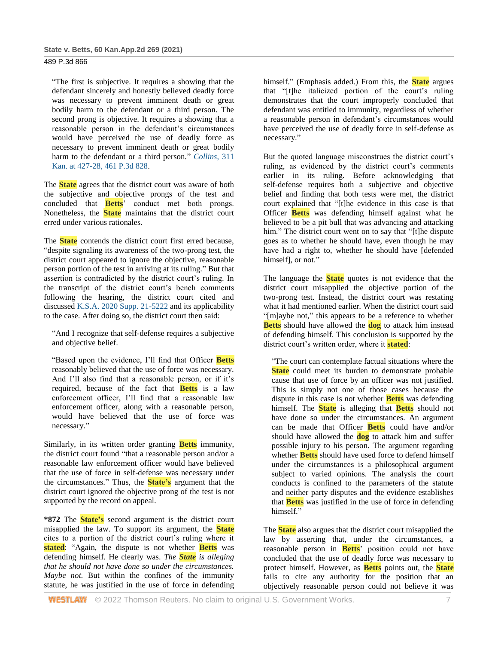"The first is subjective. It requires a showing that the defendant sincerely and honestly believed deadly force was necessary to prevent imminent death or great bodily harm to the defendant or a third person. The second prong is objective. It requires a showing that a reasonable person in the defendant's circumstances would have perceived the use of deadly force as necessary to prevent imminent death or great bodily harm to the defendant or a third person." *[Collins](http://www.westlaw.com/Link/Document/FullText?findType=Y&serNum=2050838347&pubNum=0000458&originatingDoc=I18388680d05411eb9f77ad1f6b0f4bfb&refType=RP&fi=co_pp_sp_458_427&originationContext=document&vr=3.0&rs=cblt1.0&transitionType=DocumentItem&contextData=(sc.Search)#co_pp_sp_458_427)*, 311 [Kan. at 427-28, 461 P.3d 828.](http://www.westlaw.com/Link/Document/FullText?findType=Y&serNum=2050838347&pubNum=0000458&originatingDoc=I18388680d05411eb9f77ad1f6b0f4bfb&refType=RP&fi=co_pp_sp_458_427&originationContext=document&vr=3.0&rs=cblt1.0&transitionType=DocumentItem&contextData=(sc.Search)#co_pp_sp_458_427)

The **State** agrees that the district court was aware of both the subjective and objective prongs of the test and concluded that **Betts**' conduct met both prongs. Nonetheless, the **State** maintains that the district court erred under various rationales.

The **State** contends the district court first erred because, "despite signaling its awareness of the two-prong test, the district court appeared to ignore the objective, reasonable person portion of the test in arriving at its ruling." But that assertion is contradicted by the district court's ruling. In the transcript of the district court's bench comments following the hearing, the district court cited and discussed [K.S.A. 2020 Supp. 21-5222](http://www.westlaw.com/Link/Document/FullText?findType=L&pubNum=1001553&cite=KSSTS21-5222&originatingDoc=I18388680d05411eb9f77ad1f6b0f4bfb&refType=LQ&originationContext=document&vr=3.0&rs=cblt1.0&transitionType=DocumentItem&contextData=(sc.Search)) and its applicability to the case. After doing so, the district court then said:

"And I recognize that self-defense requires a subjective and objective belief.

"Based upon the evidence, I'll find that Officer **Betts** reasonably believed that the use of force was necessary. And I'll also find that a reasonable person, or if it's required, because of the fact that **Betts** is a law enforcement officer, I'll find that a reasonable law enforcement officer, along with a reasonable person, would have believed that the use of force was necessary."

Similarly, in its written order granting **Betts** immunity, the district court found "that a reasonable person and/or a reasonable law enforcement officer would have believed that the use of force in self-defense was necessary under the circumstances." Thus, the **State's** argument that the district court ignored the objective prong of the test is not supported by the record on appeal.

**\*872** The **State's** second argument is the district court misapplied the law. To support its argument, the **State** cites to a portion of the district court's ruling where it **stated**: "Again, the dispute is not whether **Betts** was defending himself. He clearly was. *The State is alleging that he should not have done so under the circumstances. Maybe not.* But within the confines of the immunity statute, he was justified in the use of force in defending

himself." (Emphasis added.) From this, the **State** argues that "[t]he italicized portion of the court's ruling demonstrates that the court improperly concluded that defendant was entitled to immunity, regardless of whether a reasonable person in defendant's circumstances would have perceived the use of deadly force in self-defense as necessary."

But the quoted language misconstrues the district court's ruling, as evidenced by the district court's comments earlier in its ruling. Before acknowledging that self-defense requires both a subjective and objective belief and finding that both tests were met, the district court explained that "[t]he evidence in this case is that Officer **Betts** was defending himself against what he believed to be a pit bull that was advancing and attacking him." The district court went on to say that "[t]he dispute goes as to whether he should have, even though he may have had a right to, whether he should have [defended himself], or not."

The language the **State** quotes is not evidence that the district court misapplied the objective portion of the two-prong test. Instead, the district court was restating what it had mentioned earlier. When the district court said "[m]aybe not," this appears to be a reference to whether **Betts** should have allowed the **dog** to attack him instead of defending himself. This conclusion is supported by the district court's written order, where it **stated**:

"The court can contemplate factual situations where the **State** could meet its burden to demonstrate probable cause that use of force by an officer was not justified. This is simply not one of those cases because the dispute in this case is not whether **Betts** was defending himself. The **State** is alleging that **Betts** should not have done so under the circumstances. An argument can be made that Officer **Betts** could have and/or should have allowed the **dog** to attack him and suffer possible injury to his person. The argument regarding whether **Betts** should have used force to defend himself under the circumstances is a philosophical argument subject to varied opinions. The analysis the court conducts is confined to the parameters of the statute and neither party disputes and the evidence establishes that **Betts** was justified in the use of force in defending himself."

The **State** also argues that the district court misapplied the law by asserting that, under the circumstances, a reasonable person in **Betts**' position could not have concluded that the use of deadly force was necessary to protect himself. However, as **Betts** points out, the **State** fails to cite any authority for the position that an objectively reasonable person could not believe it was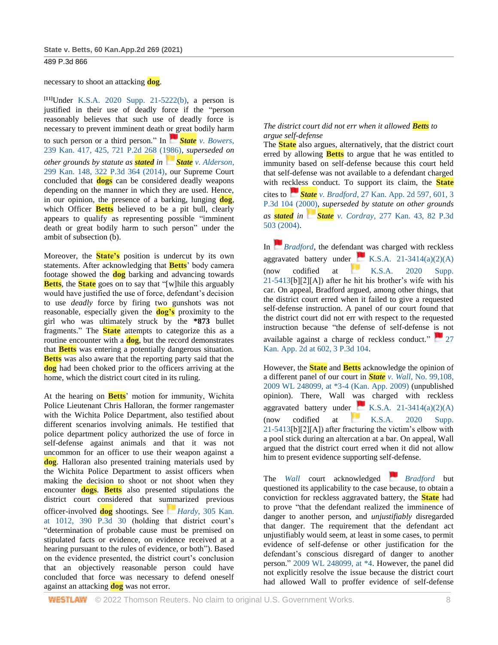necessary to shoot an attacking **dog**.

**[11]**Under [K.S.A. 2020 Supp. 21-5222\(b\),](http://www.westlaw.com/Link/Document/FullText?findType=L&pubNum=1001553&cite=KSSTS21-5222&originatingDoc=I18388680d05411eb9f77ad1f6b0f4bfb&refType=SP&originationContext=document&vr=3.0&rs=cblt1.0&transitionType=DocumentItem&contextData=(sc.Search)#co_pp_a83b000018c76) a person is justified in their use of deadly force if the "person reasonably believes that such use of deadly force is necessary to prevent imminent death or great bodily harm to such person or a third person." In *[S](https://1.next.westlaw.com/Link/RelatedInformation/Flag?documentGuid=I7f213773f53711d99439b076ef9ec4de&transitionType=InlineKeyCiteFlags&originationContext=docHeaderFlag&Rank=1&ppcid=24b44668aca74585959decee48c31b60&contextData=(sc.Search))tate [v. Bowers](https://1.next.westlaw.com/Link/RelatedInformation/Flag?documentGuid=I7f213773f53711d99439b076ef9ec4de&transitionType=InlineKeyCiteFlags&originationContext=docHeaderFlag&Rank=1&ppcid=24b44668aca74585959decee48c31b60&contextData=(sc.Search))*, [239 Kan. 417, 425, 721 P.2d 268 \(1986\),](http://www.westlaw.com/Link/Document/FullText?findType=Y&serNum=1986132068&pubNum=0000458&originatingDoc=I18388680d05411eb9f77ad1f6b0f4bfb&refType=RP&fi=co_pp_sp_458_425&originationContext=document&vr=3.0&rs=cblt1.0&transitionType=DocumentItem&contextData=(sc.Search)#co_pp_sp_458_425) *superseded on other grounds by statute as stated in [S](https://1.next.westlaw.com/Link/RelatedInformation/Flag?documentGuid=Ied0d3629c3c011e3a341ea44e5e1f25f&transitionType=InlineKeyCiteFlags&originationContext=docHeaderFlag&Rank=1&ppcid=24b44668aca74585959decee48c31b60&contextData=(sc.Search))tate [v. Alderson](https://1.next.westlaw.com/Link/RelatedInformation/Flag?documentGuid=Ied0d3629c3c011e3a341ea44e5e1f25f&transitionType=InlineKeyCiteFlags&originationContext=docHeaderFlag&Rank=1&ppcid=24b44668aca74585959decee48c31b60&contextData=(sc.Search))*, [299 Kan. 148, 322 P.3d 364 \(2014\),](http://www.westlaw.com/Link/Document/FullText?findType=Y&serNum=2033155747&pubNum=0004645&originatingDoc=I18388680d05411eb9f77ad1f6b0f4bfb&refType=RP&originationContext=document&vr=3.0&rs=cblt1.0&transitionType=DocumentItem&contextData=(sc.Search)) our Supreme Court concluded that **dogs** can be considered deadly weapons depending on the manner in which they are used. Hence, in our opinion, the presence of a barking, lunging **dog**, which Officer **Betts** believed to be a pit bull, clearly appears to qualify as representing possible "imminent death or great bodily harm to such person" under the ambit of subsection (b).

Moreover, the **State's** position is undercut by its own statements. After acknowledging that **Betts**' body camera footage showed the **dog** barking and advancing towards **Betts**, the **State** goes on to say that "[w]hile this arguably would have justified the use of force, defendant's decision to use *deadly* force by firing two gunshots was not reasonable, especially given the **dog's** proximity to the girl who was ultimately struck by the **\*873** bullet fragments." The **State** attempts to categorize this as a routine encounter with a **dog**, but the record demonstrates that **Betts** was entering a potentially dangerous situation. **Betts** was also aware that the reporting party said that the **dog** had been choked prior to the officers arriving at the home, which the district court cited in its ruling.

At the hearing on **Betts**' motion for immunity, Wichita Police Lieutenant Chris Halloran, the former rangemaster with the Wichita Police Department, also testified about different scenarios involving animals. He testified that police department policy authorized the use of force in self-defense against animals and that it was not uncommon for an officer to use their weapon against a **dog**. Halloran also presented training materials used by the Wichita Police Department to assist officers when making the decision to shoot or not shoot when they encounter **dogs**. **Betts** also presented stipulations the district court considered that summarized previous officer-involved **dog** shootings. See *[H](https://1.next.westlaw.com/Link/RelatedInformation/Flag?documentGuid=Iac380380098211e7b984d2f99f0977c6&transitionType=InlineKeyCiteFlags&originationContext=docHeaderFlag&Rank=1&ppcid=24b44668aca74585959decee48c31b60&contextData=(sc.Search))ardy*[, 305 Kan.](https://1.next.westlaw.com/Link/RelatedInformation/Flag?documentGuid=Iac380380098211e7b984d2f99f0977c6&transitionType=InlineKeyCiteFlags&originationContext=docHeaderFlag&Rank=1&ppcid=24b44668aca74585959decee48c31b60&contextData=(sc.Search))  [at 1012, 390 P.3d 30](http://www.westlaw.com/Link/Document/FullText?findType=Y&serNum=2041235268&pubNum=0000458&originatingDoc=I18388680d05411eb9f77ad1f6b0f4bfb&refType=RP&fi=co_pp_sp_458_1012&originationContext=document&vr=3.0&rs=cblt1.0&transitionType=DocumentItem&contextData=(sc.Search)#co_pp_sp_458_1012) (holding that district court's "determination of probable cause must be premised on stipulated facts or evidence, on evidence received at a hearing pursuant to the rules of evidence, or both"). Based on the evidence presented, the district court's conclusion that an objectively reasonable person could have concluded that force was necessary to defend oneself against an attacking **dog** was not error.

# *The district court did not err when it allowed Betts to argue self-defense*

The **State** also argues, alternatively, that the district court erred by allowing **Betts** to argue that he was entitled to immunity based on self-defense because this court held that self-defense was not available to a defendant charged with reckless conduct. To support its claim, the **State** cites to *[S](https://1.next.westlaw.com/Link/RelatedInformation/Flag?documentGuid=Id36662e0f55811d983e7e9deff98dc6f&transitionType=InlineKeyCiteFlags&originationContext=docHeaderFlag&Rank=1&ppcid=24b44668aca74585959decee48c31b60&contextData=(sc.Search))tate v. Bradford*[, 27 Kan. App. 2d 597, 601, 3](https://1.next.westlaw.com/Link/RelatedInformation/Flag?documentGuid=Id36662e0f55811d983e7e9deff98dc6f&transitionType=InlineKeyCiteFlags&originationContext=docHeaderFlag&Rank=1&ppcid=24b44668aca74585959decee48c31b60&contextData=(sc.Search))  [P.3d 104 \(2000\),](http://www.westlaw.com/Link/Document/FullText?findType=Y&serNum=2000376870&pubNum=0000460&originatingDoc=I18388680d05411eb9f77ad1f6b0f4bfb&refType=RP&fi=co_pp_sp_460_601&originationContext=document&vr=3.0&rs=cblt1.0&transitionType=DocumentItem&contextData=(sc.Search)#co_pp_sp_460_601) *superseded by statute on other grounds as stated in [S](https://1.next.westlaw.com/Link/RelatedInformation/Flag?documentGuid=Ic561c93ef79811d98ac8f235252e36df&transitionType=InlineKeyCiteFlags&originationContext=docHeaderFlag&Rank=1&ppcid=24b44668aca74585959decee48c31b60&contextData=(sc.Search))tate v. Cordray*[, 277 Kan. 43, 82 P.3d](https://1.next.westlaw.com/Link/RelatedInformation/Flag?documentGuid=Ic561c93ef79811d98ac8f235252e36df&transitionType=InlineKeyCiteFlags&originationContext=docHeaderFlag&Rank=1&ppcid=24b44668aca74585959decee48c31b60&contextData=(sc.Search))  [503 \(2004\).](http://www.westlaw.com/Link/Document/FullText?findType=Y&serNum=2004066391&pubNum=0004645&originatingDoc=I18388680d05411eb9f77ad1f6b0f4bfb&refType=RP&originationContext=document&vr=3.0&rs=cblt1.0&transitionType=DocumentItem&contextData=(sc.Search))

In *[Bradford](https://1.next.westlaw.com/Link/RelatedInformation/Flag?documentGuid=Id36662e0f55811d983e7e9deff98dc6f&transitionType=InlineKeyCiteFlags&originationContext=docHeaderFlag&Rank=1&ppcid=24b44668aca74585959decee48c31b60&contextData=(sc.Search))*, the defendant was charged with reckless aggravated battery under  $\begin{bmatrix} \blacksquare \\ \blacksquare \end{bmatrix}$  [K.S.A. 21-3414\(a\)\(2\)\(A\)](https://1.next.westlaw.com/Link/RelatedInformation/Flag?documentGuid=NA0BB5B10204C11DE9E59BEA71169014E&transitionType=InlineKeyCiteFlags&originationContext=docHeaderFlag&Rank=1&ppcid=24b44668aca74585959decee48c31b60&contextData=(sc.Search)) (now codified at [K.S.A. 2020 Supp.](https://1.next.westlaw.com/Link/RelatedInformation/Flag?documentGuid=NCA481E91933311E993DCE73C558C2312&transitionType=InlineKeyCiteFlags&originationContext=docHeaderFlag&Rank=1&ppcid=24b44668aca74585959decee48c31b60&contextData=(sc.Search))  [21-5413\[](http://www.westlaw.com/Link/Document/FullText?findType=L&pubNum=1001553&cite=KSSTS21-5413&originatingDoc=I18388680d05411eb9f77ad1f6b0f4bfb&refType=LQ&originationContext=document&vr=3.0&rs=cblt1.0&transitionType=DocumentItem&contextData=(sc.Search))b][2][A]) after he hit his brother's wife with his car. On appeal, Bradford argued, among other things, that the district court erred when it failed to give a requested self-defense instruction. A panel of our court found that the district court did not err with respect to the requested instruction because "the defense of self-defense is not available against a charge of reckless conduct."  $\Box$  27 [Kan. App. 2d at 602, 3 P.3d 104.](http://www.westlaw.com/Link/Document/FullText?findType=Y&serNum=2000376870&pubNum=0000460&originatingDoc=I18388680d05411eb9f77ad1f6b0f4bfb&refType=RP&fi=co_pp_sp_460_602&originationContext=document&vr=3.0&rs=cblt1.0&transitionType=DocumentItem&contextData=(sc.Search)#co_pp_sp_460_602)

However, the **State** and **Betts** acknowledge the opinion of a different panel of our court in *State v. Wall*[, No. 99,108,](http://www.westlaw.com/Link/Document/FullText?findType=Y&serNum=2017997130&pubNum=0000999&originatingDoc=I18388680d05411eb9f77ad1f6b0f4bfb&refType=RP&originationContext=document&vr=3.0&rs=cblt1.0&transitionType=DocumentItem&contextData=(sc.Search))  [2009 WL 248099, at \\*3-4 \(Kan. App. 2009\)](http://www.westlaw.com/Link/Document/FullText?findType=Y&serNum=2017997130&pubNum=0000999&originatingDoc=I18388680d05411eb9f77ad1f6b0f4bfb&refType=RP&originationContext=document&vr=3.0&rs=cblt1.0&transitionType=DocumentItem&contextData=(sc.Search)) (unpublished opinion). There, Wall was charged with reckless aggravated battery under [K.S.A. 21-3414\(a\)\(2\)\(A\)](https://1.next.westlaw.com/Link/RelatedInformation/Flag?documentGuid=NA0BB5B10204C11DE9E59BEA71169014E&transitionType=InlineKeyCiteFlags&originationContext=docHeaderFlag&Rank=1&ppcid=24b44668aca74585959decee48c31b60&contextData=(sc.Search)) (now codified at [K.S.A. 2020 Supp.](https://1.next.westlaw.com/Link/RelatedInformation/Flag?documentGuid=NCA481E91933311E993DCE73C558C2312&transitionType=InlineKeyCiteFlags&originationContext=docHeaderFlag&Rank=1&ppcid=24b44668aca74585959decee48c31b60&contextData=(sc.Search))  [21-5413\[](http://www.westlaw.com/Link/Document/FullText?findType=L&pubNum=1001553&cite=KSSTS21-5413&originatingDoc=I18388680d05411eb9f77ad1f6b0f4bfb&refType=LQ&originationContext=document&vr=3.0&rs=cblt1.0&transitionType=DocumentItem&contextData=(sc.Search))b][2][A]) after fracturing the victim's elbow with a pool stick during an altercation at a bar. On appeal, Wall argued that the district court erred when it did not allow him to present evidence supporting self-defense.

The *[Wall](http://www.westlaw.com/Link/Document/FullText?findType=Y&serNum=2017997130&pubNum=0000999&originatingDoc=I18388680d05411eb9f77ad1f6b0f4bfb&refType=RP&originationContext=document&vr=3.0&rs=cblt1.0&transitionType=DocumentItem&contextData=(sc.Search))* court acknowledged *[Bradford](https://1.next.westlaw.com/Link/RelatedInformation/Flag?documentGuid=Id36662e0f55811d983e7e9deff98dc6f&transitionType=InlineKeyCiteFlags&originationContext=docHeaderFlag&Rank=1&ppcid=24b44668aca74585959decee48c31b60&contextData=(sc.Search))* but questioned its applicability to the case because, to obtain a conviction for reckless aggravated battery, the **State** had to prove "that the defendant realized the imminence of danger to another person, and *unjustifiably* disregarded that danger. The requirement that the defendant act unjustifiably would seem, at least in some cases, to permit evidence of self-defense or other justification for the defendant's conscious disregard of danger to another person." [2009 WL 248099, at \\*4.](http://www.westlaw.com/Link/Document/FullText?findType=Y&serNum=2017997130&pubNum=0000999&originatingDoc=I18388680d05411eb9f77ad1f6b0f4bfb&refType=RP&fi=co_pp_sp_999_4&originationContext=document&vr=3.0&rs=cblt1.0&transitionType=DocumentItem&contextData=(sc.Search)#co_pp_sp_999_4) However, the panel did not explicitly resolve the issue because the district court had allowed Wall to proffer evidence of self-defense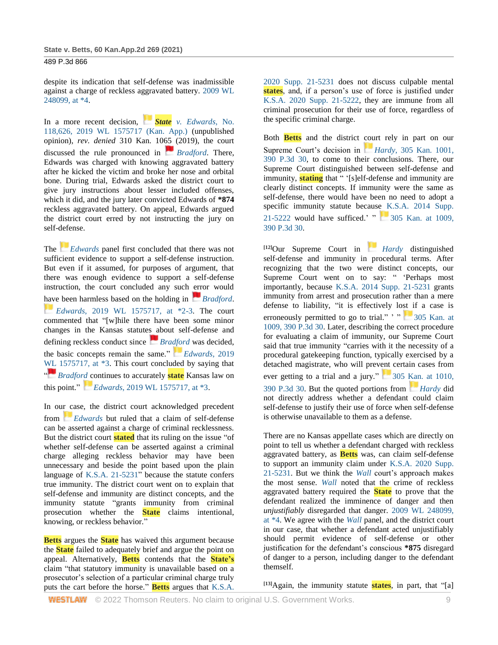despite its indication that self-defense was inadmissible against a charge of reckless aggravated battery. [2009 WL](http://www.westlaw.com/Link/Document/FullText?findType=Y&serNum=2017997130&pubNum=0000999&originatingDoc=I18388680d05411eb9f77ad1f6b0f4bfb&refType=RP&fi=co_pp_sp_999_4&originationContext=document&vr=3.0&rs=cblt1.0&transitionType=DocumentItem&contextData=(sc.Search)#co_pp_sp_999_4)  [248099, at \\*4.](http://www.westlaw.com/Link/Document/FullText?findType=Y&serNum=2017997130&pubNum=0000999&originatingDoc=I18388680d05411eb9f77ad1f6b0f4bfb&refType=RP&fi=co_pp_sp_999_4&originationContext=document&vr=3.0&rs=cblt1.0&transitionType=DocumentItem&contextData=(sc.Search)#co_pp_sp_999_4)

In a more recent decision, *[S](https://1.next.westlaw.com/Link/RelatedInformation/Flag?documentGuid=I49e543905d4111e99c53cd2c0b882f4b&transitionType=InlineKeyCiteFlags&originationContext=docHeaderFlag&Rank=1&ppcid=24b44668aca74585959decee48c31b60&contextData=(sc.Search))tate [v. Edwards](https://1.next.westlaw.com/Link/RelatedInformation/Flag?documentGuid=I49e543905d4111e99c53cd2c0b882f4b&transitionType=InlineKeyCiteFlags&originationContext=docHeaderFlag&Rank=1&ppcid=24b44668aca74585959decee48c31b60&contextData=(sc.Search))*, No. [118,626, 2019 WL 1575717 \(Kan. App.\)](http://www.westlaw.com/Link/Document/FullText?findType=Y&serNum=2047980994&pubNum=0000999&originatingDoc=I18388680d05411eb9f77ad1f6b0f4bfb&refType=RP&originationContext=document&vr=3.0&rs=cblt1.0&transitionType=DocumentItem&contextData=(sc.Search)) (unpublished opinion), *rev. denied* 310 Kan. 1065 (2019), the court discussed the rule pronounced in *[Bradford](https://1.next.westlaw.com/Link/RelatedInformation/Flag?documentGuid=Id36662e0f55811d983e7e9deff98dc6f&transitionType=InlineKeyCiteFlags&originationContext=docHeaderFlag&Rank=1&ppcid=24b44668aca74585959decee48c31b60&contextData=(sc.Search))*. There, Edwards was charged with knowing aggravated battery after he kicked the victim and broke her nose and orbital bone. During trial, Edwards asked the district court to give jury instructions about lesser included offenses, which it did, and the jury later convicted Edwards of **\*874** reckless aggravated battery. On appeal, Edwards argued the district court erred by not instructing the jury on self-defense.

The *[Edwards](https://1.next.westlaw.com/Link/RelatedInformation/Flag?documentGuid=I49e543905d4111e99c53cd2c0b882f4b&transitionType=InlineKeyCiteFlags&originationContext=docHeaderFlag&Rank=1&ppcid=24b44668aca74585959decee48c31b60&contextData=(sc.Search))* panel first concluded that there was not sufficient evidence to support a self-defense instruction. But even if it assumed, for purposes of argument, that there was enough evidence to support a self-defense instruction, the court concluded any such error would have been harmless based on the holding in *[Bradford](https://1.next.westlaw.com/Link/RelatedInformation/Flag?documentGuid=Id36662e0f55811d983e7e9deff98dc6f&transitionType=InlineKeyCiteFlags&originationContext=docHeaderFlag&Rank=1&ppcid=24b44668aca74585959decee48c31b60&contextData=(sc.Search))*. *[E](https://1.next.westlaw.com/Link/RelatedInformation/Flag?documentGuid=I49e543905d4111e99c53cd2c0b882f4b&transitionType=InlineKeyCiteFlags&originationContext=docHeaderFlag&Rank=1&ppcid=24b44668aca74585959decee48c31b60&contextData=(sc.Search))dwards*[, 2019 WL 1575717, at \\*2-3.](https://1.next.westlaw.com/Link/RelatedInformation/Flag?documentGuid=I49e543905d4111e99c53cd2c0b882f4b&transitionType=InlineKeyCiteFlags&originationContext=docHeaderFlag&Rank=1&ppcid=24b44668aca74585959decee48c31b60&contextData=(sc.Search)) The court commented that "[w]hile there have been some minor changes in the Kansas statutes about self-defense and defining reckless conduct since *[Bradford](https://1.next.westlaw.com/Link/RelatedInformation/Flag?documentGuid=Id36662e0f55811d983e7e9deff98dc6f&transitionType=InlineKeyCiteFlags&originationContext=docHeaderFlag&Rank=1&ppcid=24b44668aca74585959decee48c31b60&contextData=(sc.Search))* was decided, the basic concepts remain the same." *[Edwards](https://1.next.westlaw.com/Link/RelatedInformation/Flag?documentGuid=I49e543905d4111e99c53cd2c0b882f4b&transitionType=InlineKeyCiteFlags&originationContext=docHeaderFlag&Rank=1&ppcid=24b44668aca74585959decee48c31b60&contextData=(sc.Search))*, 2019 WL 1575717, at  $*3$ . This court concluded by saying that ["](https://1.next.westlaw.com/Link/RelatedInformation/Flag?documentGuid=Id36662e0f55811d983e7e9deff98dc6f&transitionType=InlineKeyCiteFlags&originationContext=docHeaderFlag&Rank=1&ppcid=24b44668aca74585959decee48c31b60&contextData=(sc.Search)) *[Bradford](https://1.next.westlaw.com/Link/RelatedInformation/Flag?documentGuid=Id36662e0f55811d983e7e9deff98dc6f&transitionType=InlineKeyCiteFlags&originationContext=docHeaderFlag&Rank=1&ppcid=24b44668aca74585959decee48c31b60&contextData=(sc.Search))* continues to accurately **state** Kansas law on this point." *[E](https://1.next.westlaw.com/Link/RelatedInformation/Flag?documentGuid=I49e543905d4111e99c53cd2c0b882f4b&transitionType=InlineKeyCiteFlags&originationContext=docHeaderFlag&Rank=1&ppcid=24b44668aca74585959decee48c31b60&contextData=(sc.Search))dwards*[, 2019 WL 1575717, at \\*3.](https://1.next.westlaw.com/Link/RelatedInformation/Flag?documentGuid=I49e543905d4111e99c53cd2c0b882f4b&transitionType=InlineKeyCiteFlags&originationContext=docHeaderFlag&Rank=1&ppcid=24b44668aca74585959decee48c31b60&contextData=(sc.Search))

In our case, the district court acknowledged precedent from *[Edwards](https://1.next.westlaw.com/Link/RelatedInformation/Flag?documentGuid=I49e543905d4111e99c53cd2c0b882f4b&transitionType=InlineKeyCiteFlags&originationContext=docHeaderFlag&Rank=1&ppcid=24b44668aca74585959decee48c31b60&contextData=(sc.Search))* but ruled that a claim of self-defense can be asserted against a charge of criminal recklessness. But the district court **stated** that its ruling on the issue "of whether self-defense can be asserted against a criminal charge alleging reckless behavior may have been unnecessary and beside the point based upon the plain language of [K.S.A. 21-5231"](http://www.westlaw.com/Link/Document/FullText?findType=L&pubNum=1001553&cite=KSSTS21-5231&originatingDoc=I18388680d05411eb9f77ad1f6b0f4bfb&refType=LQ&originationContext=document&vr=3.0&rs=cblt1.0&transitionType=DocumentItem&contextData=(sc.Search)) because the statute confers true immunity. The district court went on to explain that self-defense and immunity are distinct concepts, and the immunity statute "grants immunity from criminal prosecution whether the **State** claims intentional, knowing, or reckless behavior."

**Betts** argues the **State** has waived this argument because the **State** failed to adequately brief and argue the point on appeal. Alternatively, **Betts** contends that the **State's** claim "that statutory immunity is unavailable based on a prosecutor's selection of a particular criminal charge truly puts the cart before the horse." **Betts** argues that [K.S.A.](http://www.westlaw.com/Link/Document/FullText?findType=L&pubNum=1001553&cite=KSSTS21-5231&originatingDoc=I18388680d05411eb9f77ad1f6b0f4bfb&refType=LQ&originationContext=document&vr=3.0&rs=cblt1.0&transitionType=DocumentItem&contextData=(sc.Search)) 

[2020 Supp. 21-5231](http://www.westlaw.com/Link/Document/FullText?findType=L&pubNum=1001553&cite=KSSTS21-5231&originatingDoc=I18388680d05411eb9f77ad1f6b0f4bfb&refType=LQ&originationContext=document&vr=3.0&rs=cblt1.0&transitionType=DocumentItem&contextData=(sc.Search)) does not discuss culpable mental **states**, and, if a person's use of force is justified under [K.S.A. 2020 Supp. 21-5222,](http://www.westlaw.com/Link/Document/FullText?findType=L&pubNum=1001553&cite=KSSTS21-5222&originatingDoc=I18388680d05411eb9f77ad1f6b0f4bfb&refType=LQ&originationContext=document&vr=3.0&rs=cblt1.0&transitionType=DocumentItem&contextData=(sc.Search)) they are immune from all criminal prosecution for their use of force, regardless of the specific criminal charge.

Both **Betts** and the district court rely in part on our Supreme Court's decision in *[H](https://1.next.westlaw.com/Link/RelatedInformation/Flag?documentGuid=Iac380380098211e7b984d2f99f0977c6&transitionType=InlineKeyCiteFlags&originationContext=docHeaderFlag&Rank=1&ppcid=24b44668aca74585959decee48c31b60&contextData=(sc.Search))ardy*, 305 Kan. 1001, [390 P.3d 30,](http://www.westlaw.com/Link/Document/FullText?findType=Y&serNum=2041235268&pubNum=0004645&originatingDoc=I18388680d05411eb9f77ad1f6b0f4bfb&refType=RP&originationContext=document&vr=3.0&rs=cblt1.0&transitionType=DocumentItem&contextData=(sc.Search)) to come to their conclusions. There, our Supreme Court distinguished between self-defense and immunity, **stating** that " '[s]elf-defense and immunity are clearly distinct concepts. If immunity were the same as self-defense, there would have been no need to adopt a specific immunity statute because [K.S.A. 2014 Supp.](http://www.westlaw.com/Link/Document/FullText?findType=L&pubNum=1001553&cite=KSSTS21-5222&originatingDoc=I18388680d05411eb9f77ad1f6b0f4bfb&refType=LQ&originationContext=document&vr=3.0&rs=cblt1.0&transitionType=DocumentItem&contextData=(sc.Search))  [21-5222](http://www.westlaw.com/Link/Document/FullText?findType=L&pubNum=1001553&cite=KSSTS21-5222&originatingDoc=I18388680d05411eb9f77ad1f6b0f4bfb&refType=LQ&originationContext=document&vr=3.0&rs=cblt1.0&transitionType=DocumentItem&contextData=(sc.Search)) would have sufficed.'  $\frac{1}{2}$  305 Kan. at 1009, [390 P.3d 30.](http://www.westlaw.com/Link/Document/FullText?findType=Y&serNum=2041235268&pubNum=0000458&originatingDoc=I18388680d05411eb9f77ad1f6b0f4bfb&refType=RP&fi=co_pp_sp_458_1009&originationContext=document&vr=3.0&rs=cblt1.0&transitionType=DocumentItem&contextData=(sc.Search)#co_pp_sp_458_1009)

**[12]**Our Supreme Court in *[Hardy](https://1.next.westlaw.com/Link/RelatedInformation/Flag?documentGuid=Iac380380098211e7b984d2f99f0977c6&transitionType=InlineKeyCiteFlags&originationContext=docHeaderFlag&Rank=1&ppcid=24b44668aca74585959decee48c31b60&contextData=(sc.Search))* distinguished self-defense and immunity in procedural terms. After recognizing that the two were distinct concepts, our Supreme Court went on to say: " 'Perhaps most importantly, because [K.S.A. 2014 Supp. 21-5231](http://www.westlaw.com/Link/Document/FullText?findType=L&pubNum=1001553&cite=KSSTS21-5231&originatingDoc=I18388680d05411eb9f77ad1f6b0f4bfb&refType=LQ&originationContext=document&vr=3.0&rs=cblt1.0&transitionType=DocumentItem&contextData=(sc.Search)) grants immunity from arrest and prosecution rather than a mere defense to liability, "it is effectively lost if a case is erroneously permitted to go to trial."  $\cdot$  "  $\cdot$  305 Kan. at [1009, 390 P.3d 30.](http://www.westlaw.com/Link/Document/FullText?findType=Y&serNum=2041235268&pubNum=0000458&originatingDoc=I18388680d05411eb9f77ad1f6b0f4bfb&refType=RP&fi=co_pp_sp_458_1009&originationContext=document&vr=3.0&rs=cblt1.0&transitionType=DocumentItem&contextData=(sc.Search)#co_pp_sp_458_1009) Later, describing the correct procedure for evaluating a claim of immunity, our Supreme Court said that true immunity "carries with it the necessity of a procedural gatekeeping function, typically exercised by a detached magistrate, who will prevent certain cases from ever getting to a trial and a jury."  $305$  Kan. at 1010, [390 P.3d 30.](http://www.westlaw.com/Link/Document/FullText?findType=Y&serNum=2041235268&pubNum=0000458&originatingDoc=I18388680d05411eb9f77ad1f6b0f4bfb&refType=RP&fi=co_pp_sp_458_1010&originationContext=document&vr=3.0&rs=cblt1.0&transitionType=DocumentItem&contextData=(sc.Search)#co_pp_sp_458_1010) But the quoted portions from *[Hardy](https://1.next.westlaw.com/Link/RelatedInformation/Flag?documentGuid=Iac380380098211e7b984d2f99f0977c6&transitionType=InlineKeyCiteFlags&originationContext=docHeaderFlag&Rank=1&ppcid=24b44668aca74585959decee48c31b60&contextData=(sc.Search))* did not directly address whether a defendant could claim self-defense to justify their use of force when self-defense is otherwise unavailable to them as a defense.

There are no Kansas appellate cases which are directly on point to tell us whether a defendant charged with reckless aggravated battery, as **Betts** was, can claim self-defense to support an immunity claim under [K.S.A. 2020 Supp.](http://www.westlaw.com/Link/Document/FullText?findType=L&pubNum=1001553&cite=KSSTS21-5231&originatingDoc=I18388680d05411eb9f77ad1f6b0f4bfb&refType=LQ&originationContext=document&vr=3.0&rs=cblt1.0&transitionType=DocumentItem&contextData=(sc.Search))  [21-5231.](http://www.westlaw.com/Link/Document/FullText?findType=L&pubNum=1001553&cite=KSSTS21-5231&originatingDoc=I18388680d05411eb9f77ad1f6b0f4bfb&refType=LQ&originationContext=document&vr=3.0&rs=cblt1.0&transitionType=DocumentItem&contextData=(sc.Search)) But we think the *[Wall](http://www.westlaw.com/Link/Document/FullText?findType=Y&serNum=2017997130&pubNum=0000999&originatingDoc=I18388680d05411eb9f77ad1f6b0f4bfb&refType=RP&originationContext=document&vr=3.0&rs=cblt1.0&transitionType=DocumentItem&contextData=(sc.Search))* court's approach makes the most sense. *[Wall](http://www.westlaw.com/Link/Document/FullText?findType=Y&serNum=2017997130&pubNum=0000999&originatingDoc=I18388680d05411eb9f77ad1f6b0f4bfb&refType=RP&originationContext=document&vr=3.0&rs=cblt1.0&transitionType=DocumentItem&contextData=(sc.Search))* noted that the crime of reckless aggravated battery required the **State** to prove that the defendant realized the imminence of danger and then *unjustifiably* disregarded that danger. [2009 WL 248099,](http://www.westlaw.com/Link/Document/FullText?findType=Y&serNum=2017997130&pubNum=0000999&originatingDoc=I18388680d05411eb9f77ad1f6b0f4bfb&refType=RP&originationContext=document&vr=3.0&rs=cblt1.0&transitionType=DocumentItem&contextData=(sc.Search))  [at \\*4.](http://www.westlaw.com/Link/Document/FullText?findType=Y&serNum=2017997130&pubNum=0000999&originatingDoc=I18388680d05411eb9f77ad1f6b0f4bfb&refType=RP&originationContext=document&vr=3.0&rs=cblt1.0&transitionType=DocumentItem&contextData=(sc.Search)) We agree with the *[Wall](http://www.westlaw.com/Link/Document/FullText?findType=Y&serNum=2017997130&pubNum=0000999&originatingDoc=I18388680d05411eb9f77ad1f6b0f4bfb&refType=RP&originationContext=document&vr=3.0&rs=cblt1.0&transitionType=DocumentItem&contextData=(sc.Search))* panel, and the district court in our case, that whether a defendant acted unjustifiably should permit evidence of self-defense or other justification for the defendant's conscious **\*875** disregard of danger to a person, including danger to the defendant themself.

**[13]**Again, the immunity statute **states**, in part, that "[a]